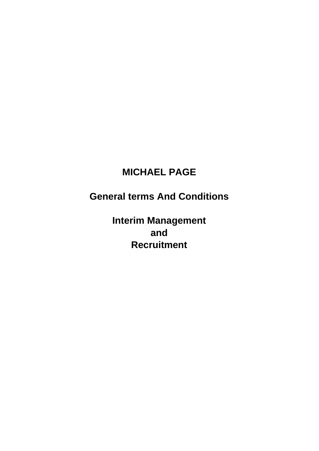# **MICHAEL PAGE**

**General terms And Conditions** 

**Interim Management and Recruitment**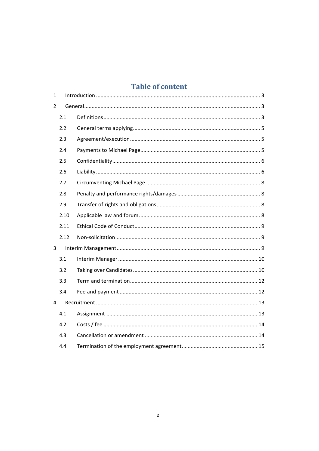# **Table of content**

| 1              |      |  |  |  |
|----------------|------|--|--|--|
| $\overline{2}$ |      |  |  |  |
|                | 2.1  |  |  |  |
|                | 2.2  |  |  |  |
|                | 2.3  |  |  |  |
|                | 2.4  |  |  |  |
|                | 2.5  |  |  |  |
|                | 2.6  |  |  |  |
|                | 2.7  |  |  |  |
|                | 2.8  |  |  |  |
|                | 2.9  |  |  |  |
|                | 2.10 |  |  |  |
|                | 2.11 |  |  |  |
|                | 2.12 |  |  |  |
| 3              |      |  |  |  |
|                | 3.1  |  |  |  |
|                | 3.2  |  |  |  |
|                | 3.3  |  |  |  |
|                | 3.4  |  |  |  |
| 4              |      |  |  |  |
|                | 4.1  |  |  |  |
|                | 4.2  |  |  |  |
|                | 4.3  |  |  |  |
|                | 4.4  |  |  |  |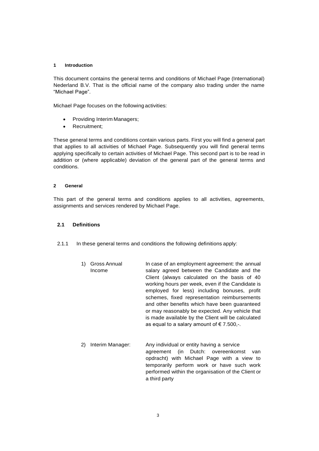#### **1 Introduction**

This document contains the general terms and conditions of Michael Page (International) Nederland B.V. That is the official name of the company also trading under the name "Michael Page".

Michael Page focuses on the following activities:

- Providing Interim Managers;
- Recruitment;

These general terms and conditions contain various parts. First you will find a general part that applies to all activities of Michael Page. Subsequently you will find general terms applying specifically to certain activities of Michael Page. This second part is to be read in addition or (where applicable) deviation of the general part of the general terms and conditions.

#### **2 General**

This part of the general terms and conditions applies to all activities, agreements, assignments and services rendered by Michael Page.

#### <span id="page-2-0"></span>**2.1 Definitions**

2.1.1 In these general terms and conditions the following definitions apply:

- 1) Gross Annual Income In case of an employment agreement: the annual salary agreed between the Candidate and the Client (always calculated on the basis of 40 working hours per week, even if the Candidate is employed for less) including bonuses, profit schemes, fixed representation reimbursements and other benefits which have been guaranteed or may reasonably be expected. Any vehicle that is made available by the Client will be calculated as equal to a salary amount of  $\epsilon$  7.500,-.
- 2) Interim Manager: Any individual or entity having a service agreement (in Dutch: overeenkomst van opdracht) with Michael Page with a view to temporarily perform work or have such work performed within the organisation of the Client or a third party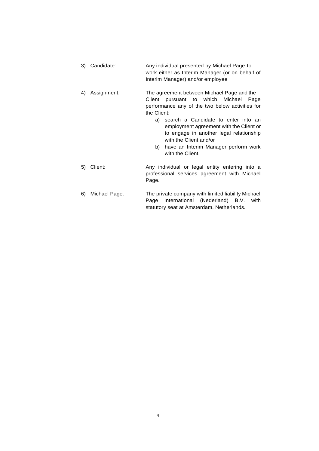- 3) Candidate: Any individual presented by Michael Page to work either as Interim Manager (or on behalf of Interim Manager) and/or employee
- 4) Assignment: The agreement between Michael Page and the Client pursuant to which Michael Page performance any of the two below activities for the Client:
	- a) search a Candidate to enter into an employment agreement with the Client or to engage in another legal relationship with the Client and/or
	- b) have an Interim Manager perform work with the Client.
- 5) Client: Any individual or legal entity entering into a professional services agreement with Michael Page.
	- 6) Michael Page: The private company with limited liability Michael Page International (Nederland) B.V. with statutory seat at Amsterdam, Netherlands.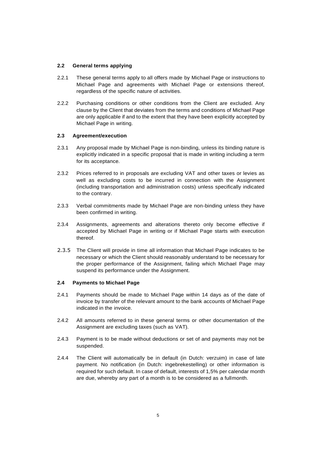# **2.2 General terms applying**

- 2.2.1 These general terms apply to all offers made by Michael Page or instructions to Michael Page and agreements with Michael Page or extensions thereof, regardless of the specific nature of activities.
- 2.2.2 Purchasing conditions or other conditions from the Client are excluded. Any clause by the Client that deviates from the terms and conditions of Michael Page are only applicable if and to the extent that they have been explicitly accepted by Michael Page in writing.

# **2.3 Agreement/execution**

- 2.3.1 Any proposal made by Michael Page is non-binding, unless its binding nature is explicitly indicated in a specific proposal that is made in writing including a term for its acceptance.
- 2.3.2 Prices referred to in proposals are excluding VAT and other taxes or levies as well as excluding costs to be incurred in connection with the Assignment (including transportation and administration costs) unless specifically indicated to the contrary.
- 2.3.3 Verbal commitments made by Michael Page are non-binding unless they have been confirmed in writing.
- 2.3.4 Assignments, agreements and alterations thereto only become effective if accepted by Michael Page in writing or if Michael Page starts with execution thereof.
- 2.3.5 The Client will provide in time all information that Michael Page indicates to be necessary or which the Client should reasonably understand to be necessary for the proper performance of the Assignment, failing which Michael Page may suspend its performance under the Assignment.

# **2.4 Payments to Michael Page**

- 2.4.1 Payments should be made to Michael Page within 14 days as of the date of invoice by transfer of the relevant amount to the bank accounts of Michael Page indicated in the invoice.
- 2.4.2 All amounts referred to in these general terms or other documentation of the Assignment are excluding taxes (such as VAT).
- 2.4.3 Payment is to be made without deductions or set of and payments may not be suspended.
- 2.4.4 The Client will automatically be in default (in Dutch: verzuim) in case of late payment. No notification (in Dutch: ingebrekestelling) or other information is required for such default. In case of default, interests of 1,5% per calendar month are due, whereby any part of a month is to be considered as a fullmonth.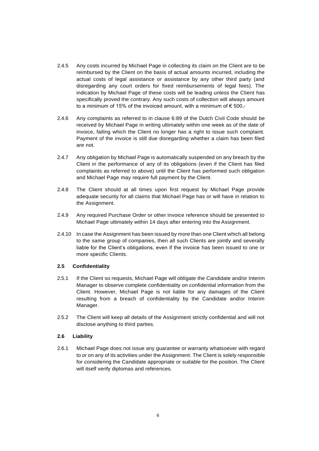- 2.4.5 Any costs incurred by Michael Page in collecting its claim on the Client are to be reimbursed by the Client on the basis of actual amounts incurred, including the actual costs of legal assistance or assistance by any other third party (and disregarding any court orders for fixed reimbursements of legal fees). The indication by Michael Page of these costs will be leading unless the Client has specifically proved the contrary. Any such costs of collection will always amount to a minimum of 15% of the invoiced amount, with a minimum of  $\epsilon$  500,-
- 2.4.6 Any complaints as referred to in clause 6:89 of the Dutch Civil Code should be received by Michael Page in writing ultimately within one week as of the date of invoice, failing which the Client no longer has a right to issue such complaint. Payment of the invoice is still due disregarding whether a claim has been filed are not.
- 2.4.7 Any obligation by Michael Page is automatically suspended on any breach by the Client in the performance of any of its obligations (even if the Client has filed complaints as referred to above) until the Client has performed such obligation and Michael Page may require full payment by the Client.
- 2.4.8 The Client should at all times upon first request by Michael Page provide adequate security for all claims that Michael Page has or will have in relation to the Assignment.
- 2.4.9 Any required Purchase Order or other invoice reference should be presented to Michael Page ultimately within 14 days after entering into the Assignment.
- 2.4.10 In case the Assignment has been issued by more than one Client which all belong to the same group of companies, then all such Clients are jointly and severally liable for the Client's obligations, even if the invoice has been issued to one or more specific Clients.

# **2.5 Confidentiality**

- 2.5.1 If the Client so requests, Michael Page will obligate the Candidate and/or Interim Manager to observe complete confidentiality on confidential information from the Client. However, Michael Page is not liable for any damages of the Client resulting from a breach of confidentiality by the Candidate and/or Interim Manager.
- 2.5.2 The Client will keep all details of the Assignment strictly confidential and will not disclose anything to third parties.

# **2.6 Liability**

2.6.1 Michael Page does not issue any guarantee or warranty whatsoever with regard to or on any of its activities under the Assignment. The Client is solely responsible for considering the Candidate appropriate or suitable for the position. The Client will itself verify diplomas and references.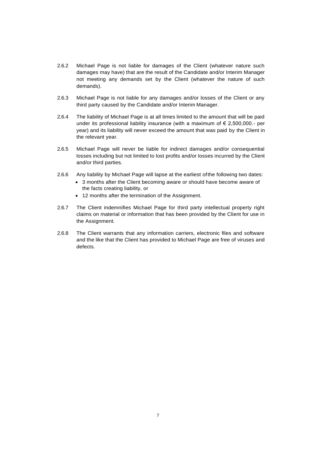- 2.6.2 Michael Page is not liable for damages of the Client (whatever nature such damages may have) that are the result of the Candidate and/or Interim Manager not meeting any demands set by the Client (whatever the nature of such demands).
- 2.6.3 Michael Page is not liable for any damages and/or losses of the Client or any third party caused by the Candidate and/or Interim Manager.
- 2.6.4 The liability of Michael Page is at all times limited to the amount that will be paid under its professional liability insurance (with a maximum of  $\epsilon$  2,500,000.- per year) and its liability will never exceed the amount that was paid by the Client in the relevant year.
- 2.6.5 Michael Page will never be liable for indirect damages and/or consequential losses including but not limited to lost profits and/or losses incurred by the Client and/or third parties.
- 2.6.6 Any liability by Michael Page will lapse at the earliest ofthe following two dates:
	- 3 months after the Client becoming aware or should have become aware of the facts creating liability, or
	- 12 months after the termination of the Assignment.
- 2.6.7 The Client indemnifies Michael Page for third party intellectual property right claims on material or information that has been provided by the Client for use in the Assignment.
- 2.6.8 The Client warrants that any information carriers, electronic files and software and the like that the Client has provided to Michael Page are free of viruses and defects.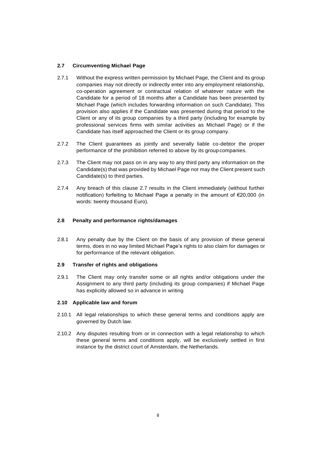# **2.7 Circumventing Michael Page**

- 2.7.1 Without the express written permission by Michael Page, the Client and its group companies may not directly or indirectly enter into any employment relationship, co-operation agreement or contractual relation of whatever nature with the Candidate for a period of 18 months after a Candidate has been presented by Michael Page (which includes forwarding information on such Candidate). This provision also applies if the Candidate was presented during that period to the Client or any of its group companies by a third party (including for example by professional services firms with similar activities as Michael Page) or if the Candidate has itself approached the Client or its group company.
- 2.7.2 The Client guarantees as jointly and severally liable co-debtor the proper performance of the prohibition referred to above by its group companies.
- 2.7.3 The Client may not pass on in any way to any third party any information on the Candidate(s) that was provided by Michael Page nor may the Client present such Candidate(s) to third parties.
- 2.7.4 Any breach of this clause 2.7 results in the Client immediately (without further notification) forfeiting to Michael Page a penalty in the amount of €20,000 (in words: twenty thousand Euro).

# **2.8 Penalty and performance rights/damages**

2.8.1 Any penalty due by the Client on the basis of any provision of these general terms, does in no way limited Michael Page's rights to also claim for damages or for performance of the relevant obligation.

# **2.9 Transfer of rights and obligations**

2.9.1 The Client may only transfer some or all rights and/or obligations under the Assignment to any third party (including its group companies) if Michael Page has explicitly allowed so in advance in writing

# **2.10 Applicable law and forum**

- 2.10.1 All legal relationships to which these general terms and conditions apply are governed by Dutch law.
- 2.10.2 Any disputes resulting from or in connection with a legal relationship to which these general terms and conditions apply, will be exclusively settled in first instance by the district court of Amsterdam, the Netherlands.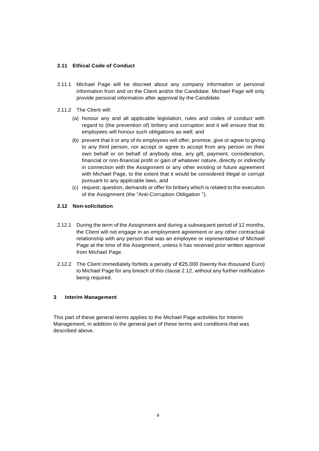# **2.11 Ethical Code of Conduct**

- 2.11.1 Michael Page will be discreet about any company information or personal information from and on the Client and/or the Candidate. Michael Page will only provide personal information after approval by the Candidate.
- 2.11.2 The Client will:
	- (a) honour any and all applicable legislation, rules and codes of conduct with regard to (the prevention of) bribery and corruption and it will ensure that its employees will honour such obligations as well; and
	- (b) prevent that it or any of its employees will offer, promise, give or agree to giving to any third person, nor accept or agree to accept from any person on their own behalf or on behalf of anybody else, any gift, payment, consideration, financial or non-financial profit or gain of whatever nature, directly or indirectly in connection with the Assignment or any other existing or future agreement with Michael Page, to the extent that it would be considered illegal or corrupt pursuant to any applicable laws, and
	- (c) request, question, demands or offer for bribery which is related to the execution of the Assignment (the "Anti-Corruption Obligation ").

# **2.12 Non-solicitation**

- 2.12.1 During the term of the Assignment and during a subsequent period of 12 months, the Client will not engage in an employment agreement or any other contractual relationship with any person that was an employee or representative of Michael Page at the time of the Assignment, unless it has received prior written approval from Michael Page.
- 2.12.2 The Client immediately forfeits a penalty of  $\epsilon$ 25,000 (twenty five thousand Euro) to Michael Page for any breach of this clause 2.12, without any further notification being required.

# <span id="page-8-0"></span>**3 Interim Management**

This part of these general terms applies to the Michael Page activities for Interim Management, in addition to the general part of these terms and conditions that was described above.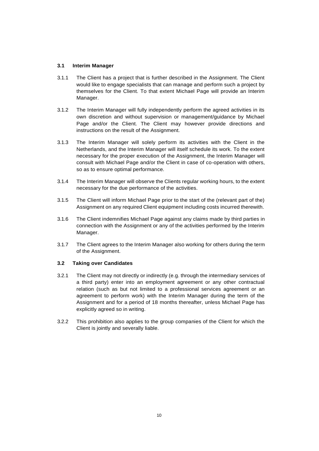# <span id="page-9-0"></span>**3.1 Interim Manager**

- 3.1.1 The Client has a project that is further described in the Assignment. The Client would like to engage specialists that can manage and perform such a project by themselves for the Client. To that extent Michael Page will provide an Interim Manager.
- 3.1.2 The Interim Manager will fully independently perform the agreed activities in its own discretion and without supervision or management/guidance by Michael Page and/or the Client. The Client may however provide directions and instructions on the result of the Assignment.
- 3.1.3 The Interim Manager will solely perform its activities with the Client in the Netherlands, and the Interim Manager will itself schedule its work. To the extent necessary for the proper execution of the Assignment, the Interim Manager will consult with Michael Page and/or the Client in case of co-operation with others, so as to ensure optimal performance.
- 3.1.4 The Interim Manager will observe the Clients regular working hours, to the extent necessary for the due performance of the activities.
- 3.1.5 The Client will inform Michael Page prior to the start of the (relevant part of the) Assignment on any required Client equipment including costs incurred therewith.
- 3.1.6 The Client indemnifies Michael Page against any claims made by third parties in connection with the Assignment or any of the activities performed by the Interim Manager.
- 3.1.7 The Client agrees to the Interim Manager also working for others during the term of the Assignment.

# <span id="page-9-1"></span>**3.2 Taking over Candidates**

- 3.2.1 The Client may not directly or indirectly (e.g. through the intermediary services of a third party) enter into an employment agreement or any other contractual relation (such as but not limited to a professional services agreement or an agreement to perform work) with the Interim Manager during the term of the Assignment and for a period of 18 months thereafter, unless Michael Page has explicitly agreed so in writing.
- 3.2.2 This prohibition also applies to the group companies of the Client for which the Client is jointly and severally liable.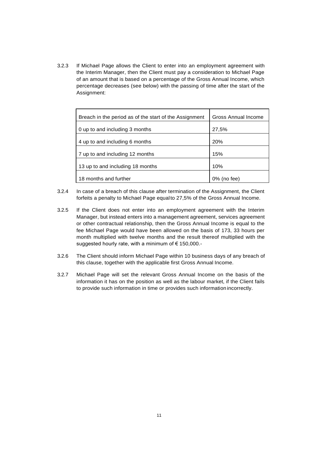3.2.3 If Michael Page allows the Client to enter into an employment agreement with the Interim Manager, then the Client must pay a consideration to Michael Page of an amount that is based on a percentage of the Gross Annual Income, which percentage decreases (see below) with the passing of time after the start of the Assignment:

| Breach in the period as of the start of the Assignment | Gross Annual Income |
|--------------------------------------------------------|---------------------|
| 0 up to and including 3 months                         | 27,5%               |
| 4 up to and including 6 months                         | <b>20%</b>          |
| 7 up to and including 12 months                        | 15%                 |
| 13 up to and including 18 months                       | 10%                 |
| 18 months and further                                  | 0% (no fee)         |

- 3.2.4 In case of a breach of this clause after termination of the Assignment, the Client forfeits a penalty to Michael Page equalto 27,5% of the Gross Annual Income.
- 3.2.5 If the Client does not enter into an employment agreement with the Interim Manager, but instead enters into a management agreement, services agreement or other contractual relationship, then the Gross Annual Income is equal to the fee Michael Page would have been allowed on the basis of 173, 33 hours per month multiplied with twelve months and the result thereof multiplied with the suggested hourly rate, with a minimum of €150,000.-
- 3.2.6 The Client should inform Michael Page within 10 business days of any breach of this clause, together with the applicable first Gross Annual Income.
- 3.2.7 Michael Page will set the relevant Gross Annual Income on the basis of the information it has on the position as well as the labour market, if the Client fails to provide such information in time or provides such information incorrectly.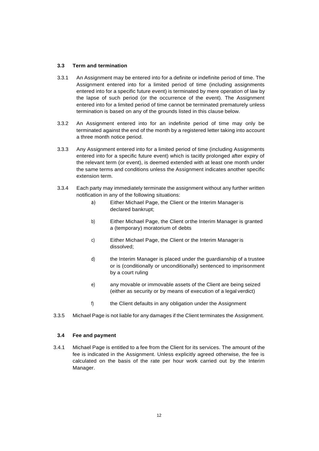# <span id="page-11-0"></span>**3.3 Term and termination**

- 3.3.1 An Assignment may be entered into for a definite or indefinite period of time. The Assignment entered into for a limited period of time (including assignments entered into for a specific future event) is terminated by mere operation of law by the lapse of such period (or the occurrence of the event). The Assignment entered into for a limited period of time cannot be terminated prematurely unless termination is based on any of the grounds listed in this clause below.
- 3.3.2 An Assignment entered into for an indefinite period of time may only be terminated against the end of the month by a registered letter taking into account a three month notice period.
- 3.3.3 Any Assignment entered into for a limited period of time (including Assignments entered into for a specific future event) which is tacitly prolonged after expiry of the relevant term (or event), is deemed extended with at least one month under the same terms and conditions unless the Assignment indicates another specific extension term.
- 3.3.4 Each party may immediately terminate the assignment without any further written notification in any of the following situations:
	- a) Either Michael Page, the Client or the Interim Manager is declared bankrupt;
	- b) Either Michael Page, the Client orthe Interim Manager is granted a (temporary) moratorium of debts
	- c) Either Michael Page, the Client or the Interim Manager is dissolved;
	- d) the Interim Manager is placed under the guardianship of a trustee or is (conditionally or unconditionally) sentenced to imprisonment by a court ruling
	- e) any movable or immovable assets of the Client are being seized (either as security or by means of execution of a legal verdict)
	- f) the Client defaults in any obligation under the Assignment
- 3.3.5 Michael Page is not liable for any damages if the Client terminates the Assignment.

#### <span id="page-11-1"></span>**3.4 Fee and payment**

3.4.1 Michael Page is entitled to a fee from the Client for its services. The amount of the fee is indicated in the Assignment. Unless explicitly agreed otherwise, the fee is calculated on the basis of the rate per hour work carried out by the Interim Manager.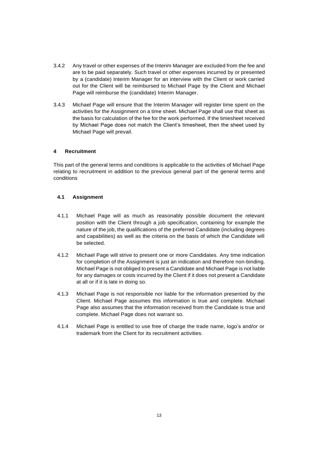- 3.4.2 Any travel or other expenses of the Interim Manager are excluded from the fee and are to be paid separately. Such travel or other expenses incurred by or presented by a (candidate) Interim Manager for an interview with the Client or work carried out for the Client will be reimbursed to Michael Page by the Client and Michael Page will reimburse the (candidate) Interim Manager.
- 3.4.3 Michael Page will ensure that the Interim Manager will register time spent on the activities for the Assignment on a time sheet. Michael Page shall use that sheet as the basis for calculation of the fee for the work performed. If the timesheet received by Michael Page does not match the Client's timesheet, then the sheet used by Michael Page will prevail.

# <span id="page-12-0"></span>**4 Recruitment**

This part of the general terms and conditions is applicable to the activities of Michael Page relating to recruitment in addition to the previous general part of the general terms and conditions

# <span id="page-12-1"></span>**4.1 Assignment**

- 4.1.1 Michael Page will as much as reasonably possible document the relevant position with the Client through a job specification, containing for example the nature of the job, the qualifications of the preferred Candidate (including degrees and capabilities) as well as the criteria on the basis of which the Candidate will be selected.
- 4.1.2 Michael Page will strive to present one or more Candidates. Any time indication for completion of the Assignment is just an indication and therefore non-binding. Michael Page is not obliged to present a Candidate and Michael Page is not liable for any damages or costs incurred by the Client if it does not present a Candidate at all or if it is late in doing so.
- 4.1.3 Michael Page is not responsible nor liable for the information presented by the Client. Michael Page assumes this information is true and complete. Michael Page also assumes that the information received from the Candidate is true and complete. Michael Page does not warrant so.
- 4.1.4 Michael Page is entitled to use free of charge the trade name, logo's and/or or trademark from the Client for its recruitment activities.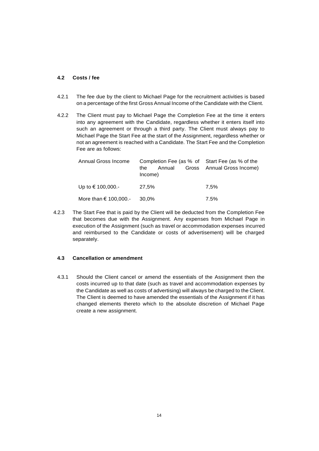# <span id="page-13-0"></span>**4.2 Costs / fee**

- 4.2.1 The fee due by the client to Michael Page for the recruitment activities is based on a percentage of the first Gross Annual Income of the Candidate with the Client.
- 4.2.2 The Client must pay to Michael Page the Completion Fee at the time it enters into any agreement with the Candidate, regardless whether it enters itself into such an agreement or through a third party. The Client must always pay to Michael Page the Start Fee at the start of the Assignment, regardless whether or not an agreement is reached with a Candidate. The Start Fee and the Completion Fee are as follows:

| Annual Gross Income             | Completion Fee (as % of Start Fee (as % of the |                            |
|---------------------------------|------------------------------------------------|----------------------------|
|                                 | Annual<br>the.<br>Income)                      | Gross Annual Gross Income) |
| Up to € 100,000.-               | 27,5%                                          | 7.5%                       |
| More than $\in$ 100,000.- 30,0% |                                                | 7.5%                       |

4.2.3 The Start Fee that is paid by the Client will be deducted from the Completion Fee that becomes due with the Assignment. Any expenses from Michael Page in execution of the Assignment (such as travel or accommodation expenses incurred and reimbursed to the Candidate or costs of advertisement) will be charged separately.

# <span id="page-13-1"></span>**4.3 Cancellation or amendment**

4.3.1 Should the Client cancel or amend the essentials of the Assignment then the costs incurred up to that date (such as travel and accommodation expenses by the Candidate as well as costs of advertising) will always be charged to the Client. The Client is deemed to have amended the essentials of the Assignment if it has changed elements thereto which to the absolute discretion of Michael Page create a new assignment.